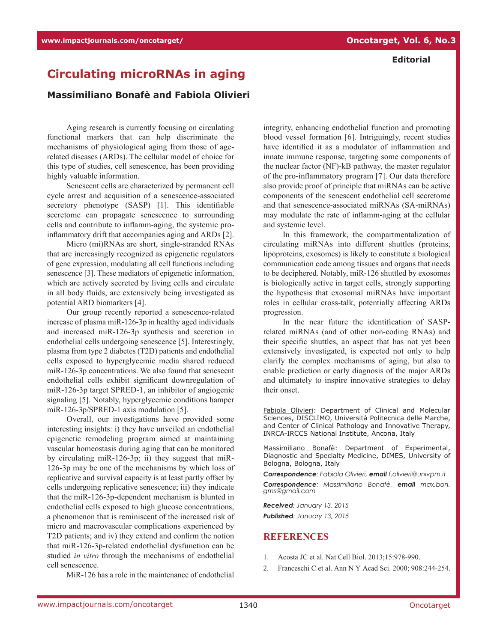## **Editorial**

## **Circulating microRNAs in aging**

## **Massimiliano Bonafè and Fabiola Olivieri**

Aging research is currently focusing on circulating functional markers that can help discriminate the mechanisms of physiological aging from those of agerelated diseases (ARDs). The cellular model of choice for this type of studies, cell senescence, has been providing highly valuable information.

Senescent cells are characterized by permanent cell cycle arrest and acquisition of a senescence-associated secretory phenotype (SASP) [1]. This identifiable secretome can propagate senescence to surrounding cells and contribute to inflamm-aging, the systemic proinflammatory drift that accompanies aging and ARDs [2].

Micro (mi)RNAs are short, single-stranded RNAs that are increasingly recognized as epigenetic regulators of gene expression, modulating all cell functions including senescence [3]. These mediators of epigenetic information, which are actively secreted by living cells and circulate in all body fluids, are extensively being investigated as potential ARD biomarkers [4].

Our group recently reported a senescence-related increase of plasma miR-126-3p in healthy aged individuals and increased miR-126-3p synthesis and secretion in endothelial cells undergoing senescence [5]. Interestingly, plasma from type 2 diabetes (T2D) patients and endothelial cells exposed to hyperglycemic media shared reduced miR-126-3p concentrations. We also found that senescent endothelial cells exhibit significant downregulation of miR-126-3p target SPRED-1, an inhibitor of angiogenic signaling [5]. Notably, hyperglycemic conditions hamper miR-126-3p/SPRED-1 axis modulation [5].

Overall, our investigations have provided some interesting insights: i) they have unveiled an endothelial epigenetic remodeling program aimed at maintaining vascular homeostasis during aging that can be monitored by circulating miR-126-3p; ii) they suggest that miR-126-3p may be one of the mechanisms by which loss of replicative and survival capacity is at least partly offset by cells undergoing replicative senescence; iii) they indicate that the miR-126-3p-dependent mechanism is blunted in endothelial cells exposed to high glucose concentrations, a phenomenon that is reminiscent of the increased risk of micro and macrovascular complications experienced by T2D patients; and iv) they extend and confirm the notion that miR-126-3p-related endothelial dysfunction can be studied *in vitro* through the mechanisms of endothelial cell senescence.

MiR-126 has a role in the maintenance of endothelial

integrity, enhancing endothelial function and promoting blood vessel formation [6]. Intriguingly, recent studies have identified it as a modulator of inflammation and innate immune response, targeting some components of the nuclear factor (NF)-kB pathway, the master regulator of the pro-inflammatory program [7]. Our data therefore also provide proof of principle that miRNAs can be active components of the senescent endothelial cell secretome and that senescence-associated miRNAs (SA-miRNAs) may modulate the rate of inflamm-aging at the cellular and systemic level.

In this framework, the compartmentalization of circulating miRNAs into different shuttles (proteins, lipoproteins, exosomes) is likely to constitute a biological communication code among tissues and organs that needs to be deciphered. Notably, miR-126 shuttled by exosomes is biologically active in target cells, strongly supporting the hypothesis that exosomal miRNAs have important roles in cellular cross-talk, potentially affecting ARDs progression.

In the near future the identification of SASPrelated miRNAs (and of other non-coding RNAs) and their specific shuttles, an aspect that has not yet been extensively investigated, is expected not only to help clarify the complex mechanisms of aging, but also to enable prediction or early diagnosis of the major ARDs and ultimately to inspire innovative strategies to delay their onset.

Fabiola Olivieri: Department of Clinical and Molecular Sciences, DISCLIMO, Università Politecnica delle Marche, and Center of Clinical Pathology and Innovative Therapy, INRCA-IRCCS National Institute, Ancona, Italy

Massimiliano Bonafè: Department of Experimental, Diagnostic and Specialty Medicine, DIMES, University of Bologna, Bologna, Italy

*Correspondence: Fabiola Olivieri, email f.olivieri@univpm.it*

*Correspondence: Massimiliano Bonafè, email max.bon. gms@gmail.com*

*Received: January 13, 2015 Published: January 13, 2015*

## **REFERENCES**

- 1. Acosta JC et al. Nat Cell Biol. 2013;15:978-990.
- 2. Franceschi C et al. Ann N Y Acad Sci. 2000; 908:244-254.